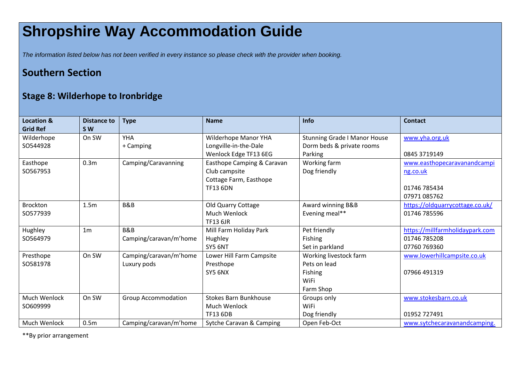## **Shropshire Way Accommodation Guide**

*The information listed below has not been verified in every instance so please check with the provider when booking.*

## **Southern Section**

## **Stage 8: Wilderhope to Ironbridge**

| <b>Location &amp;</b> | <b>Distance to</b> | <b>Type</b>                | <b>Name</b>                  | <b>Info</b>                         | <b>Contact</b>                  |
|-----------------------|--------------------|----------------------------|------------------------------|-------------------------------------|---------------------------------|
| <b>Grid Ref</b>       | <b>SW</b>          |                            |                              |                                     |                                 |
| Wilderhope            | On SW              | <b>YHA</b>                 | Wilderhope Manor YHA         | <b>Stunning Grade I Manor House</b> | www.yha.org.uk                  |
| SO544928              |                    | + Camping                  | Longville-in-the-Dale        | Dorm beds & private rooms           |                                 |
|                       |                    |                            | Wenlock Edge TF13 6EG        | Parking                             | 0845 3719149                    |
| Easthope              | 0.3 <sub>m</sub>   | Camping/Caravanning        | Easthope Camping & Caravan   | Working farm                        | www.easthopecaravanandcampi     |
| SO567953              |                    |                            | Club campsite                | Dog friendly                        | ng.co.uk                        |
|                       |                    |                            | Cottage Farm, Easthope       |                                     |                                 |
|                       |                    |                            | <b>TF13 6DN</b>              |                                     | 01746 785434                    |
|                       |                    |                            |                              |                                     | 07971 085762                    |
| <b>Brockton</b>       | 1.5m               | B&B                        | Old Quarry Cottage           | Award winning B&B                   | https://oldquarrycottage.co.uk/ |
| SO577939              |                    |                            | <b>Much Wenlock</b>          | Evening meal**                      | 01746 785596                    |
|                       |                    |                            | <b>TF13 6JR</b>              |                                     |                                 |
| Hughley               | 1 <sub>m</sub>     | <b>B&amp;B</b>             | Mill Farm Holiday Park       | Pet friendly                        | https://millfarmholidaypark.com |
| SO564979              |                    | Camping/caravan/m'home     | Hughley                      | Fishing                             | 01746 785208                    |
|                       |                    |                            | SY5 6NT                      | Set in parkland                     | 07760 769360                    |
| Presthope             | On SW              | Camping/caravan/m'home     | Lower Hill Farm Campsite     | Working livestock farm              | www.lowerhillcampsite.co.uk     |
| SO581978              |                    | Luxury pods                | Presthope                    | Pets on lead                        |                                 |
|                       |                    |                            | SY5 6NX                      | Fishing                             | 07966 491319                    |
|                       |                    |                            |                              | WiFi                                |                                 |
|                       |                    |                            |                              | Farm Shop                           |                                 |
| Much Wenlock          | On SW              | <b>Group Accommodation</b> | <b>Stokes Barn Bunkhouse</b> | Groups only                         | www.stokesbarn.co.uk            |
| SO609999              |                    |                            | Much Wenlock                 | WiFi                                |                                 |
|                       |                    |                            | <b>TF13 6DB</b>              | Dog friendly                        | 01952 727491                    |
| Much Wenlock          | 0.5 <sub>m</sub>   | Camping/caravan/m'home     | Sytche Caravan & Camping     | Open Feb-Oct                        | www.sytchecaravanandcamping.    |

\*\*By prior arrangement